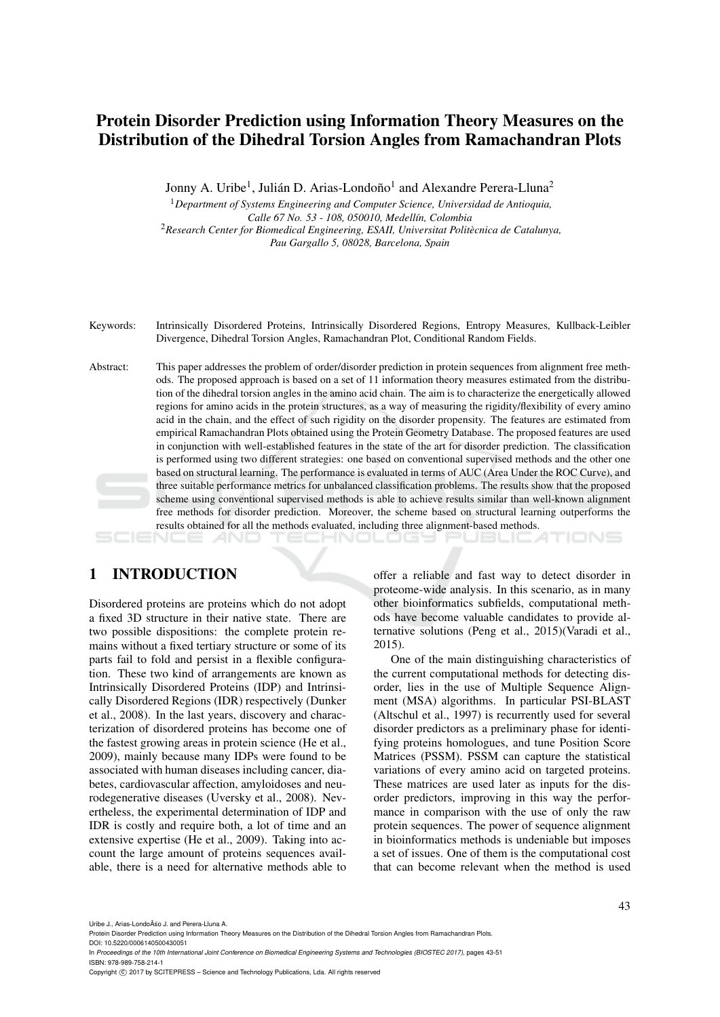# Protein Disorder Prediction using Information Theory Measures on the Distribution of the Dihedral Torsion Angles from Ramachandran Plots

Jonny A. Uribe<sup>1</sup>, Julián D. Arias-Londoño<sup>1</sup> and Alexandre Perera-Lluna<sup>2</sup>

<sup>1</sup>*Department of Systems Engineering and Computer Science, Universidad de Antioquia, Calle 67 No. 53 - 108, 050010, Medell´ın, Colombia* <sup>2</sup>*Research Center for Biomedical Engineering, ESAII, Universitat Politecnica de Catalunya, ` Pau Gargallo 5, 08028, Barcelona, Spain*

Keywords: Intrinsically Disordered Proteins, Intrinsically Disordered Regions, Entropy Measures, Kullback-Leibler Divergence, Dihedral Torsion Angles, Ramachandran Plot, Conditional Random Fields.

Abstract: This paper addresses the problem of order/disorder prediction in protein sequences from alignment free methods. The proposed approach is based on a set of 11 information theory measures estimated from the distribution of the dihedral torsion angles in the amino acid chain. The aim is to characterize the energetically allowed regions for amino acids in the protein structures, as a way of measuring the rigidity/flexibility of every amino acid in the chain, and the effect of such rigidity on the disorder propensity. The features are estimated from empirical Ramachandran Plots obtained using the Protein Geometry Database. The proposed features are used in conjunction with well-established features in the state of the art for disorder prediction. The classification is performed using two different strategies: one based on conventional supervised methods and the other one based on structural learning. The performance is evaluated in terms of AUC (Area Under the ROC Curve), and three suitable performance metrics for unbalanced classification problems. The results show that the proposed scheme using conventional supervised methods is able to achieve results similar than well-known alignment free methods for disorder prediction. Moreover, the scheme based on structural learning outperforms the results obtained for all the methods evaluated, including three alignment-based methods.

# 1 INTRODUCTION

Disordered proteins are proteins which do not adopt a fixed 3D structure in their native state. There are two possible dispositions: the complete protein remains without a fixed tertiary structure or some of its parts fail to fold and persist in a flexible configuration. These two kind of arrangements are known as Intrinsically Disordered Proteins (IDP) and Intrinsically Disordered Regions (IDR) respectively (Dunker et al., 2008). In the last years, discovery and characterization of disordered proteins has become one of the fastest growing areas in protein science (He et al., 2009), mainly because many IDPs were found to be associated with human diseases including cancer, diabetes, cardiovascular affection, amyloidoses and neurodegenerative diseases (Uversky et al., 2008). Nevertheless, the experimental determination of IDP and IDR is costly and require both, a lot of time and an extensive expertise (He et al., 2009). Taking into account the large amount of proteins sequences available, there is a need for alternative methods able to

offer a reliable and fast way to detect disorder in proteome-wide analysis. In this scenario, as in many other bioinformatics subfields, computational methods have become valuable candidates to provide alternative solutions (Peng et al., 2015)(Varadi et al., 2015).

TIONS

One of the main distinguishing characteristics of the current computational methods for detecting disorder, lies in the use of Multiple Sequence Alignment (MSA) algorithms. In particular PSI-BLAST (Altschul et al., 1997) is recurrently used for several disorder predictors as a preliminary phase for identifying proteins homologues, and tune Position Score Matrices (PSSM). PSSM can capture the statistical variations of every amino acid on targeted proteins. These matrices are used later as inputs for the disorder predictors, improving in this way the performance in comparison with the use of only the raw protein sequences. The power of sequence alignment in bioinformatics methods is undeniable but imposes a set of issues. One of them is the computational cost that can become relevant when the method is used

Uribe J., Arias-LondoÃso J. and Perera-Lluna A. ´

Protein Disorder Prediction using Information Theory Measures on the Distribution of the Dihedral Torsion Angles from Ramachandran Plots. DOI: 10.5220/0006140500430051

In *Proceedings of the 10th International Joint Conference on Biomedical Engineering Systems and Technologies (BIOSTEC 2017)*, pages 43-51 ISBN: 978-989-758-214-1

Copyright C 2017 by SCITEPRESS - Science and Technology Publications, Lda. All rights reserved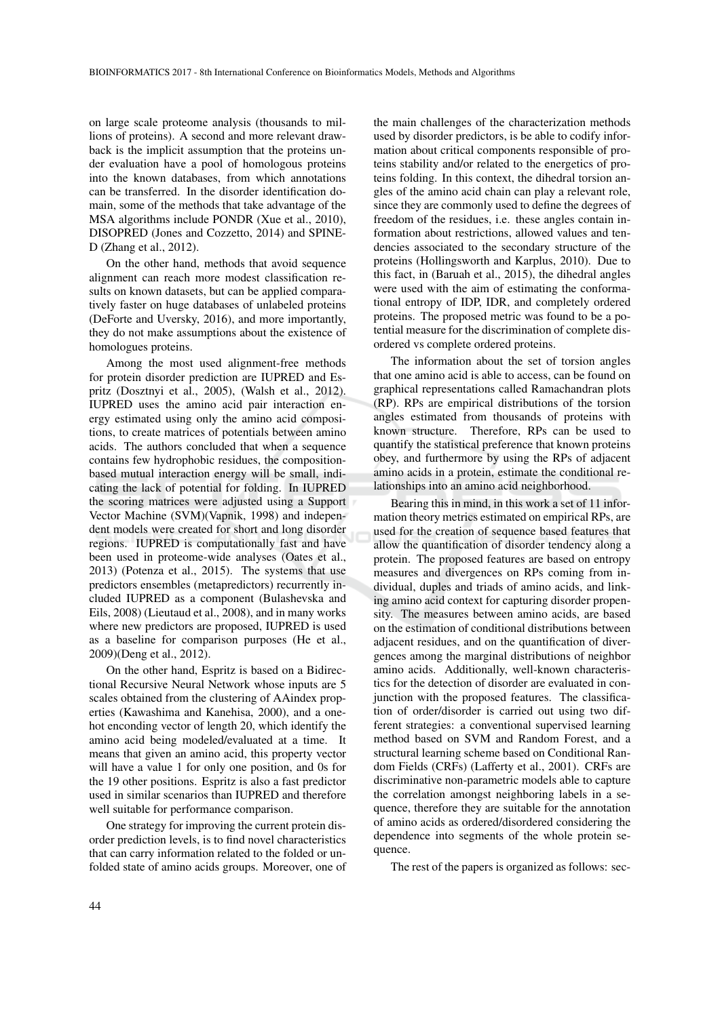on large scale proteome analysis (thousands to millions of proteins). A second and more relevant drawback is the implicit assumption that the proteins under evaluation have a pool of homologous proteins into the known databases, from which annotations can be transferred. In the disorder identification domain, some of the methods that take advantage of the MSA algorithms include PONDR (Xue et al., 2010), DISOPRED (Jones and Cozzetto, 2014) and SPINE-D (Zhang et al., 2012).

On the other hand, methods that avoid sequence alignment can reach more modest classification results on known datasets, but can be applied comparatively faster on huge databases of unlabeled proteins (DeForte and Uversky, 2016), and more importantly, they do not make assumptions about the existence of homologues proteins.

Among the most used alignment-free methods for protein disorder prediction are IUPRED and Espritz (Dosztnyi et al., 2005), (Walsh et al., 2012). IUPRED uses the amino acid pair interaction energy estimated using only the amino acid compositions, to create matrices of potentials between amino acids. The authors concluded that when a sequence contains few hydrophobic residues, the compositionbased mutual interaction energy will be small, indicating the lack of potential for folding. In IUPRED the scoring matrices were adjusted using a Support Vector Machine (SVM)(Vapnik, 1998) and independent models were created for short and long disorder regions. IUPRED is computationally fast and have been used in proteome-wide analyses (Oates et al., 2013) (Potenza et al., 2015). The systems that use predictors ensembles (metapredictors) recurrently included IUPRED as a component (Bulashevska and Eils, 2008) (Lieutaud et al., 2008), and in many works where new predictors are proposed, IUPRED is used as a baseline for comparison purposes (He et al., 2009)(Deng et al., 2012).

On the other hand, Espritz is based on a Bidirectional Recursive Neural Network whose inputs are 5 scales obtained from the clustering of AAindex properties (Kawashima and Kanehisa, 2000), and a onehot enconding vector of length 20, which identify the amino acid being modeled/evaluated at a time. It means that given an amino acid, this property vector will have a value 1 for only one position, and 0s for the 19 other positions. Espritz is also a fast predictor used in similar scenarios than IUPRED and therefore well suitable for performance comparison.

One strategy for improving the current protein disorder prediction levels, is to find novel characteristics that can carry information related to the folded or unfolded state of amino acids groups. Moreover, one of

the main challenges of the characterization methods used by disorder predictors, is be able to codify information about critical components responsible of proteins stability and/or related to the energetics of proteins folding. In this context, the dihedral torsion angles of the amino acid chain can play a relevant role, since they are commonly used to define the degrees of freedom of the residues, i.e. these angles contain information about restrictions, allowed values and tendencies associated to the secondary structure of the proteins (Hollingsworth and Karplus, 2010). Due to this fact, in (Baruah et al., 2015), the dihedral angles were used with the aim of estimating the conformational entropy of IDP, IDR, and completely ordered proteins. The proposed metric was found to be a potential measure for the discrimination of complete disordered vs complete ordered proteins.

The information about the set of torsion angles that one amino acid is able to access, can be found on graphical representations called Ramachandran plots (RP). RPs are empirical distributions of the torsion angles estimated from thousands of proteins with known structure. Therefore, RPs can be used to quantify the statistical preference that known proteins obey, and furthermore by using the RPs of adjacent amino acids in a protein, estimate the conditional relationships into an amino acid neighborhood.

Bearing this in mind, in this work a set of 11 information theory metrics estimated on empirical RPs, are used for the creation of sequence based features that allow the quantification of disorder tendency along a protein. The proposed features are based on entropy measures and divergences on RPs coming from individual, duples and triads of amino acids, and linking amino acid context for capturing disorder propensity. The measures between amino acids, are based on the estimation of conditional distributions between adjacent residues, and on the quantification of divergences among the marginal distributions of neighbor amino acids. Additionally, well-known characteristics for the detection of disorder are evaluated in conjunction with the proposed features. The classification of order/disorder is carried out using two different strategies: a conventional supervised learning method based on SVM and Random Forest, and a structural learning scheme based on Conditional Random Fields (CRFs) (Lafferty et al., 2001). CRFs are discriminative non-parametric models able to capture the correlation amongst neighboring labels in a sequence, therefore they are suitable for the annotation of amino acids as ordered/disordered considering the dependence into segments of the whole protein sequence.

The rest of the papers is organized as follows: sec-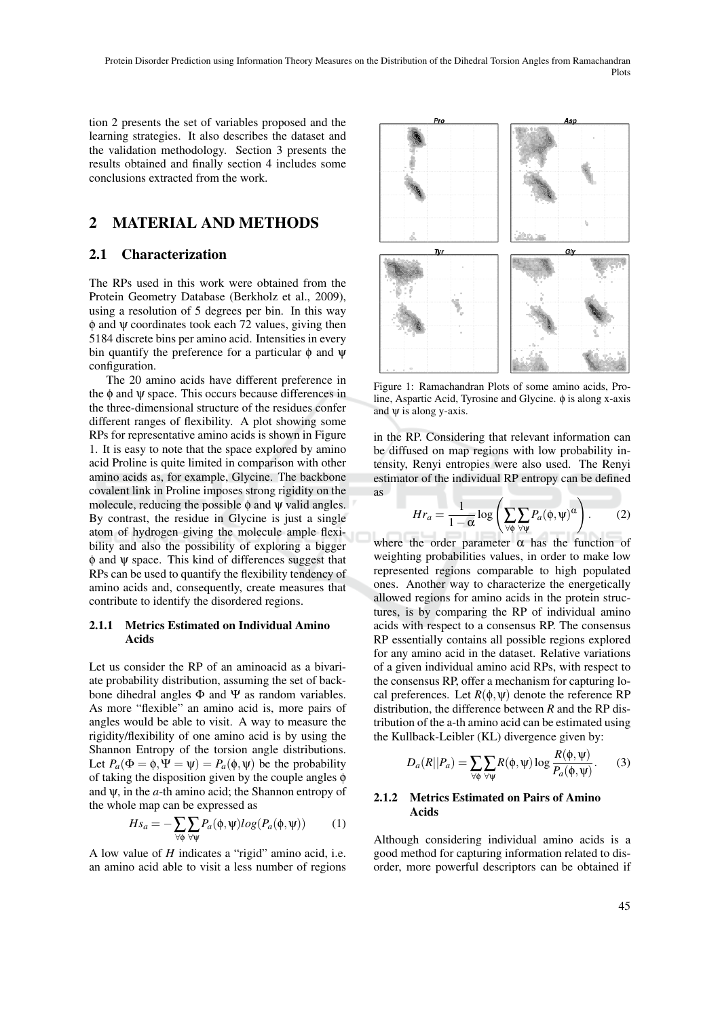tion 2 presents the set of variables proposed and the learning strategies. It also describes the dataset and the validation methodology. Section 3 presents the results obtained and finally section 4 includes some conclusions extracted from the work.

# 2 MATERIAL AND METHODS

## 2.1 Characterization

The RPs used in this work were obtained from the Protein Geometry Database (Berkholz et al., 2009), using a resolution of 5 degrees per bin. In this way φ and ψ coordinates took each 72 values, giving then 5184 discrete bins per amino acid. Intensities in every bin quantify the preference for a particular  $\phi$  and  $\psi$ configuration.

The 20 amino acids have different preference in the  $\phi$  and  $\psi$  space. This occurs because differences in the three-dimensional structure of the residues confer different ranges of flexibility. A plot showing some RPs for representative amino acids is shown in Figure 1. It is easy to note that the space explored by amino acid Proline is quite limited in comparison with other amino acids as, for example, Glycine. The backbone covalent link in Proline imposes strong rigidity on the molecule, reducing the possible  $\phi$  and  $\psi$  valid angles. By contrast, the residue in Glycine is just a single atom of hydrogen giving the molecule ample flexibility and also the possibility of exploring a bigger φ and ψ space. This kind of differences suggest that RPs can be used to quantify the flexibility tendency of amino acids and, consequently, create measures that contribute to identify the disordered regions.

#### 2.1.1 Metrics Estimated on Individual Amino Acids

Let us consider the RP of an aminoacid as a bivariate probability distribution, assuming the set of backbone dihedral angles  $\Phi$  and  $\Psi$  as random variables. As more "flexible" an amino acid is, more pairs of angles would be able to visit. A way to measure the rigidity/flexibility of one amino acid is by using the Shannon Entropy of the torsion angle distributions. Let  $P_a(\Phi = \phi, \Psi = \psi) = P_a(\phi, \psi)$  be the probability of taking the disposition given by the couple angles  $\phi$ and  $\psi$ , in the *a*-th amino acid; the Shannon entropy of the whole map can be expressed as

$$
Hs_a = -\sum_{\forall \phi} \sum_{\forall \psi} P_a(\phi, \psi) \log(P_a(\phi, \psi)) \tag{1}
$$

A low value of *H* indicates a "rigid" amino acid, i.e. an amino acid able to visit a less number of regions



Figure 1: Ramachandran Plots of some amino acids, Proline, Aspartic Acid, Tyrosine and Glycine. φ is along x-axis and  $\psi$  is along y-axis.

in the RP. Considering that relevant information can be diffused on map regions with low probability intensity, Renyi entropies were also used. The Renyi estimator of the individual RP entropy can be defined as

$$
Hr_a = \frac{1}{1-\alpha} \log \left( \sum_{\forall \phi} \sum_{\forall \psi} P_a(\phi, \psi)^{\alpha} \right). \tag{2}
$$

where the order parameter  $\alpha$  has the function of weighting probabilities values, in order to make low represented regions comparable to high populated ones. Another way to characterize the energetically allowed regions for amino acids in the protein structures, is by comparing the RP of individual amino acids with respect to a consensus RP. The consensus RP essentially contains all possible regions explored for any amino acid in the dataset. Relative variations of a given individual amino acid RPs, with respect to the consensus RP, offer a mechanism for capturing local preferences. Let  $R(\phi, \psi)$  denote the reference RP distribution, the difference between *R* and the RP distribution of the a-th amino acid can be estimated using the Kullback-Leibler (KL) divergence given by:

$$
D_a(R||P_a) = \sum_{\forall \phi} \sum_{\forall \psi} R(\phi, \psi) \log \frac{R(\phi, \psi)}{P_a(\phi, \psi)}.
$$
 (3)

#### 2.1.2 Metrics Estimated on Pairs of Amino Acids

Although considering individual amino acids is a good method for capturing information related to disorder, more powerful descriptors can be obtained if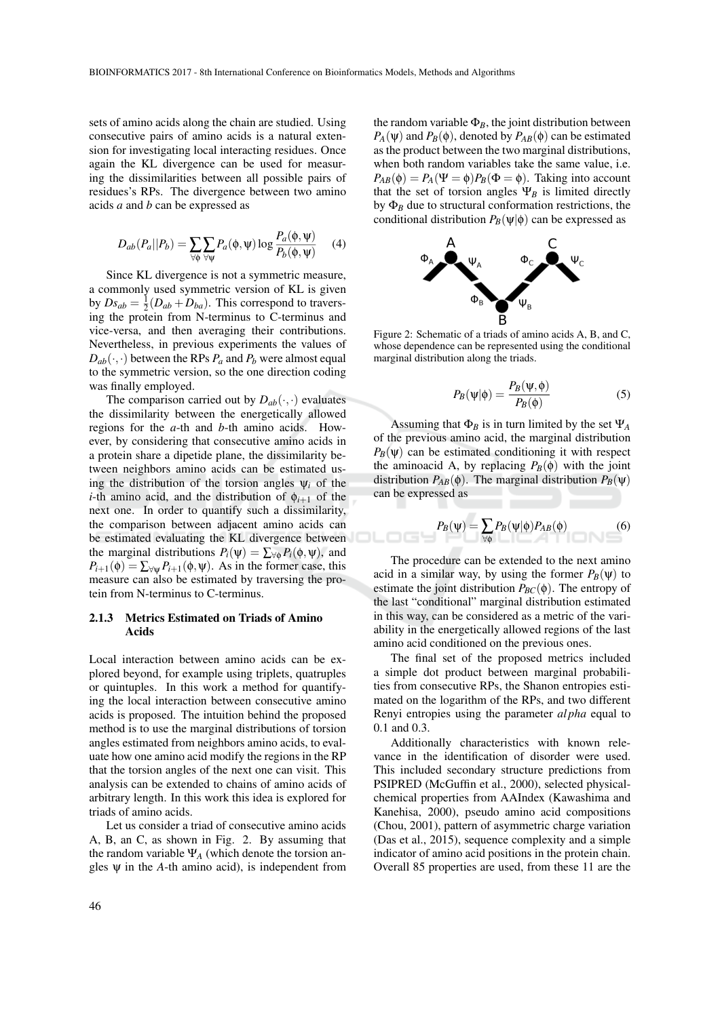sets of amino acids along the chain are studied. Using consecutive pairs of amino acids is a natural extension for investigating local interacting residues. Once again the KL divergence can be used for measuring the dissimilarities between all possible pairs of residues's RPs. The divergence between two amino acids *a* and *b* can be expressed as

$$
D_{ab}(P_a||P_b) = \sum_{\forall \phi} \sum_{\forall \psi} P_a(\phi, \psi) \log \frac{P_a(\phi, \psi)}{P_b(\phi, \psi)}
$$
(4)

Since KL divergence is not a symmetric measure, a commonly used symmetric version of KL is given by  $Ds_{ab} = \frac{1}{2}(D_{ab} + D_{ba})$ . This correspond to traversing the protein from N-terminus to C-terminus and vice-versa, and then averaging their contributions. Nevertheless, in previous experiments the values of  $D_{ab}(\cdot,\cdot)$  between the RPs  $P_a$  and  $P_b$  were almost equal to the symmetric version, so the one direction coding was finally employed.

The comparison carried out by  $D_{ab}(\cdot,\cdot)$  evaluates the dissimilarity between the energetically allowed regions for the *a*-th and *b*-th amino acids. However, by considering that consecutive amino acids in a protein share a dipetide plane, the dissimilarity between neighbors amino acids can be estimated using the distribution of the torsion angles  $\psi_i$  of the *i*-th amino acid, and the distribution of  $\phi_{i+1}$  of the next one. In order to quantify such a dissimilarity, the comparison between adjacent amino acids can be estimated evaluating the KL divergence between the marginal distributions  $P_i(\psi) = \sum_{\forall \phi} P_i(\phi, \psi)$ , and  $P_{i+1}(\phi) = \sum_{\forall \psi} P_{i+1}(\phi, \psi)$ . As in the former case, this measure can also be estimated by traversing the protein from N-terminus to C-terminus.

#### 2.1.3 Metrics Estimated on Triads of Amino Acids

Local interaction between amino acids can be explored beyond, for example using triplets, quatruples or quintuples. In this work a method for quantifying the local interaction between consecutive amino acids is proposed. The intuition behind the proposed method is to use the marginal distributions of torsion angles estimated from neighbors amino acids, to evaluate how one amino acid modify the regions in the RP that the torsion angles of the next one can visit. This analysis can be extended to chains of amino acids of arbitrary length. In this work this idea is explored for triads of amino acids.

Let us consider a triad of consecutive amino acids A, B, an C, as shown in Fig. 2. By assuming that the random variable  $\Psi_A$  (which denote the torsion angles  $\Psi$  in the *A*-th amino acid), is independent from

the random variable  $\Phi_B$ , the joint distribution between  $P_A(\psi)$  and  $P_B(\phi)$ , denoted by  $P_{AB}(\phi)$  can be estimated as the product between the two marginal distributions, when both random variables take the same value, i.e.  $P_{AB}(\phi) = P_A(\Psi = \phi)P_B(\Phi = \phi)$ . Taking into account that the set of torsion angles  $\Psi_B$  is limited directly by  $\Phi_B$  due to structural conformation restrictions, the conditional distribution  $P_B(\psi|\phi)$  can be expressed as



Figure 2: Schematic of a triads of amino acids A, B, and C, whose dependence can be represented using the conditional marginal distribution along the triads.

$$
P_B(\psi|\phi) = \frac{P_B(\psi,\phi)}{P_B(\phi)}
$$
 (5)

Assuming that  $\Phi_B$  is in turn limited by the set  $\Psi_A$ of the previous amino acid, the marginal distribution  $P_B(\psi)$  can be estimated conditioning it with respect the aminoacid A, by replacing  $P_B(\phi)$  with the joint distribution  $P_{AB}(\phi)$ . The marginal distribution  $P_B(\psi)$ can be expressed as

$$
P_B(\psi) = \sum_{\forall \phi} P_B(\psi | \phi) P_{AB}(\phi) \tag{6}
$$

The procedure can be extended to the next amino acid in a similar way, by using the former  $P_B(\psi)$  to estimate the joint distribution  $P_{BC}(\phi)$ . The entropy of the last "conditional" marginal distribution estimated in this way, can be considered as a metric of the variability in the energetically allowed regions of the last amino acid conditioned on the previous ones.

The final set of the proposed metrics included a simple dot product between marginal probabilities from consecutive RPs, the Shanon entropies estimated on the logarithm of the RPs, and two different Renyi entropies using the parameter *al pha* equal to 0.1 and 0.3.

Additionally characteristics with known relevance in the identification of disorder were used. This included secondary structure predictions from PSIPRED (McGuffin et al., 2000), selected physicalchemical properties from AAIndex (Kawashima and Kanehisa, 2000), pseudo amino acid compositions (Chou, 2001), pattern of asymmetric charge variation (Das et al., 2015), sequence complexity and a simple indicator of amino acid positions in the protein chain. Overall 85 properties are used, from these 11 are the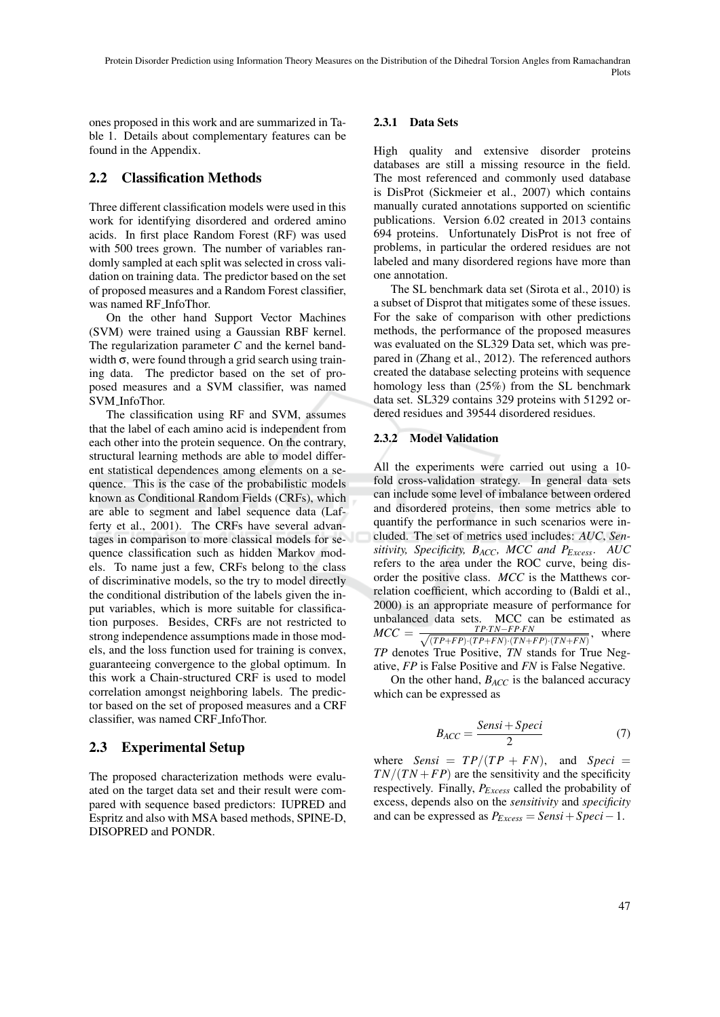ones proposed in this work and are summarized in Table 1. Details about complementary features can be found in the Appendix.

## 2.2 Classification Methods

Three different classification models were used in this work for identifying disordered and ordered amino acids. In first place Random Forest (RF) was used with 500 trees grown. The number of variables randomly sampled at each split was selected in cross validation on training data. The predictor based on the set of proposed measures and a Random Forest classifier, was named RF InfoThor.

On the other hand Support Vector Machines (SVM) were trained using a Gaussian RBF kernel. The regularization parameter *C* and the kernel bandwidth  $\sigma$ , were found through a grid search using training data. The predictor based on the set of proposed measures and a SVM classifier, was named SVM InfoThor.

The classification using RF and SVM, assumes that the label of each amino acid is independent from each other into the protein sequence. On the contrary, structural learning methods are able to model different statistical dependences among elements on a sequence. This is the case of the probabilistic models known as Conditional Random Fields (CRFs), which are able to segment and label sequence data (Lafferty et al., 2001). The CRFs have several advantages in comparison to more classical models for sequence classification such as hidden Markov models. To name just a few, CRFs belong to the class of discriminative models, so the try to model directly the conditional distribution of the labels given the input variables, which is more suitable for classification purposes. Besides, CRFs are not restricted to strong independence assumptions made in those models, and the loss function used for training is convex, guaranteeing convergence to the global optimum. In this work a Chain-structured CRF is used to model correlation amongst neighboring labels. The predictor based on the set of proposed measures and a CRF classifier, was named CRF InfoThor.

## 2.3 Experimental Setup

The proposed characterization methods were evaluated on the target data set and their result were compared with sequence based predictors: IUPRED and Espritz and also with MSA based methods, SPINE-D, DISOPRED and PONDR.

### 2.3.1 Data Sets

High quality and extensive disorder proteins databases are still a missing resource in the field. The most referenced and commonly used database is DisProt (Sickmeier et al., 2007) which contains manually curated annotations supported on scientific publications. Version 6.02 created in 2013 contains 694 proteins. Unfortunately DisProt is not free of problems, in particular the ordered residues are not labeled and many disordered regions have more than one annotation.

The SL benchmark data set (Sirota et al., 2010) is a subset of Disprot that mitigates some of these issues. For the sake of comparison with other predictions methods, the performance of the proposed measures was evaluated on the SL329 Data set, which was prepared in (Zhang et al., 2012). The referenced authors created the database selecting proteins with sequence homology less than (25%) from the SL benchmark data set. SL329 contains 329 proteins with 51292 ordered residues and 39544 disordered residues.

### 2.3.2 Model Validation

All the experiments were carried out using a 10 fold cross-validation strategy. In general data sets can include some level of imbalance between ordered and disordered proteins, then some metrics able to quantify the performance in such scenarios were included. The set of metrics used includes: *AUC*, *Sensitivity, Specificity, BACC, MCC and PExcess*. *AUC* refers to the area under the ROC curve, being disorder the positive class. *MCC* is the Matthews correlation coefficient, which according to (Baldi et al., 2000) is an appropriate measure of performance for unbalanced data sets. MCC can be estimated as  $MCC = \frac{TP \cdot TN - FP \cdot FN}{\sqrt{(TP + FP) \cdot (TP + FN) \cdot (TN + FP)}}$  $\frac{TP \cdot TN - FP \cdot FN}{(TP + FP) \cdot (TP + FN) \cdot (TN + FP) \cdot (TN + FN)}$ , where *TP* denotes True Positive, *TN* stands for True Negative, *FP* is False Positive and *FN* is False Negative.

On the other hand,  $B_{ACC}$  is the balanced accuracy which can be expressed as

$$
B_{ACC} = \frac{Sensi + Speci}{2} \tag{7}
$$

where *Sensi* =  $TP/(TP + FN)$ , and *Speci* =  $TN/(TN + FP)$  are the sensitivity and the specificity respectively. Finally, *PExcess* called the probability of excess, depends also on the *sensitivity* and *specificity* and can be expressed as  $P_{Excess} = Sensi + Speci - 1$ .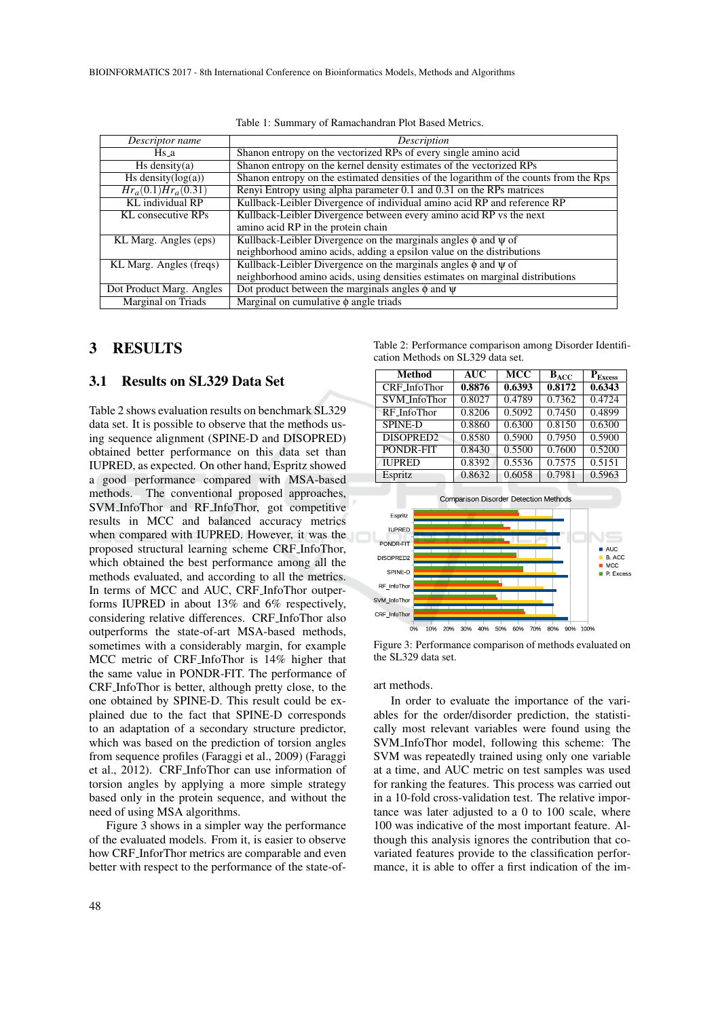| Descriptor name          | Description                                                                           |
|--------------------------|---------------------------------------------------------------------------------------|
| H <sub>s</sub> a         | Shanon entropy on the vectorized RPs of every single amino acid                       |
| $Hs$ density(a)          | Shanon entropy on the kernel density estimates of the vectorized RPs                  |
| Hs density $(log(a))$    | Shanon entropy on the estimated densities of the logarithm of the counts from the Rps |
| $Hr_a(0.1)Hr_a(0.31)$    | Renyi Entropy using alpha parameter 0.1 and 0.31 on the RPs matrices                  |
| <b>KL</b> individual RP  | Kullback-Leibler Divergence of individual amino acid RP and reference RP              |
| KL consecutive RPs       | Kullback-Leibler Divergence between every amino acid RP vs the next                   |
|                          | amino acid RP in the protein chain                                                    |
| KL Marg. Angles (eps)    | Kullback-Leibler Divergence on the marginals angles $\phi$ and $\psi$ of              |
|                          | neighborhood amino acids, adding a epsilon value on the distributions                 |
| KL Marg. Angles (freqs)  | Kullback-Leibler Divergence on the marginals angles $\phi$ and $\psi$ of              |
|                          | neighborhood amino acids, using densities estimates on marginal distributions         |
| Dot Product Marg. Angles | Dot product between the marginals angles $\phi$ and $\psi$                            |
| Marginal on Triads       | Marginal on cumulative $\phi$ angle triads                                            |

Table 1: Summary of Ramachandran Plot Based Metrics.

### 3 RESULTS

#### 3.1 Results on SL329 Data Set

Table 2 shows evaluation results on benchmark SL329 data set. It is possible to observe that the methods using sequence alignment (SPINE-D and DISOPRED) obtained better performance on this data set than IUPRED, as expected. On other hand, Espritz showed a good performance compared with MSA-based methods. The conventional proposed approaches, SVM InfoThor and RF InfoThor, got competitive results in MCC and balanced accuracy metrics when compared with IUPRED. However, it was the proposed structural learning scheme CRF InfoThor, which obtained the best performance among all the methods evaluated, and according to all the metrics. In terms of MCC and AUC, CRF InfoThor outperforms IUPRED in about 13% and 6% respectively, considering relative differences. CRF InfoThor also outperforms the state-of-art MSA-based methods, sometimes with a considerably margin, for example MCC metric of CRF InfoThor is 14% higher that the same value in PONDR-FIT. The performance of CRF InfoThor is better, although pretty close, to the one obtained by SPINE-D. This result could be explained due to the fact that SPINE-D corresponds to an adaptation of a secondary structure predictor, which was based on the prediction of torsion angles from sequence profiles (Faraggi et al., 2009) (Faraggi et al., 2012). CRF InfoThor can use information of torsion angles by applying a more simple strategy based only in the protein sequence, and without the need of using MSA algorithms.

Figure 3 shows in a simpler way the performance of the evaluated models. From it, is easier to observe how CRF InforThor metrics are comparable and even better with respect to the performance of the state-of-

| Table 2: Performance comparison among Disorder Identifi- |  |  |
|----------------------------------------------------------|--|--|
| cation Methods on SL329 data set.                        |  |  |

| <b>Method</b>  | <b>AUC</b> | <b>MCC</b>      | $B_{ACC}$ | $P_{Excess}$ |
|----------------|------------|-----------------|-----------|--------------|
| CRF_InfoThor   | 0.8876     | 0.6393          | 0.8172    | 0.6343       |
| SVM_InfoThor   | 0.8027     | $\sqrt{0.4789}$ | 0.7362    | 0.4724       |
| RF_InfoThor    | 0.8206     | 0.5092          | 0.7450    | 0.4899       |
| <b>SPINE-D</b> | 0.8860     | 0.6300          | 0.8150    | 0.6300       |
| DISOPRED2      | 0.8580     | 0.5900          | 0.7950    | 0.5900       |
| PONDR-FIT      | 0.8430     | 0.5500          | 0.7600    | 0.5200       |
| <b>IUPRED</b>  | 0.8392     | 0.5536          | 0.7575    | 0.5151       |
| Espritz        | 0.8632     | 0.6058          | 0.7981    | 0.5963       |



Figure 3: Performance comparison of methods evaluated on the SL329 data set.

#### art methods.

In order to evaluate the importance of the variables for the order/disorder prediction, the statistically most relevant variables were found using the SVM InfoThor model, following this scheme: The SVM was repeatedly trained using only one variable at a time, and AUC metric on test samples was used for ranking the features. This process was carried out in a 10-fold cross-validation test. The relative importance was later adjusted to a 0 to 100 scale, where 100 was indicative of the most important feature. Although this analysis ignores the contribution that covariated features provide to the classification performance, it is able to offer a first indication of the im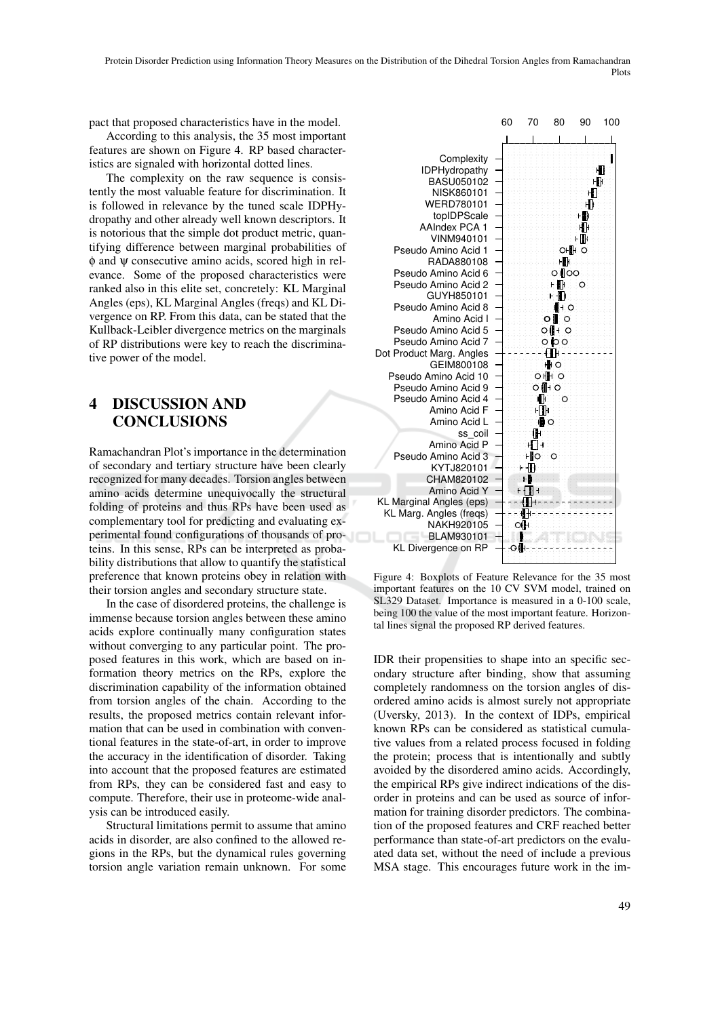pact that proposed characteristics have in the model.

According to this analysis, the 35 most important features are shown on Figure 4. RP based characteristics are signaled with horizontal dotted lines.

The complexity on the raw sequence is consistently the most valuable feature for discrimination. It is followed in relevance by the tuned scale IDPHydropathy and other already well known descriptors. It is notorious that the simple dot product metric, quantifying difference between marginal probabilities of φ and ψ consecutive amino acids, scored high in relevance. Some of the proposed characteristics were ranked also in this elite set, concretely: KL Marginal Angles (eps), KL Marginal Angles (freqs) and KL Divergence on RP. From this data, can be stated that the Kullback-Leibler divergence metrics on the marginals of RP distributions were key to reach the discriminative power of the model.

# 4 DISCUSSION AND CONCLUSIONS

Ramachandran Plot's importance in the determination of secondary and tertiary structure have been clearly recognized for many decades. Torsion angles between amino acids determine unequivocally the structural folding of proteins and thus RPs have been used as complementary tool for predicting and evaluating experimental found configurations of thousands of proteins. In this sense, RPs can be interpreted as probability distributions that allow to quantify the statistical preference that known proteins obey in relation with their torsion angles and secondary structure state.

In the case of disordered proteins, the challenge is immense because torsion angles between these amino acids explore continually many configuration states without converging to any particular point. The proposed features in this work, which are based on information theory metrics on the RPs, explore the discrimination capability of the information obtained from torsion angles of the chain. According to the results, the proposed metrics contain relevant information that can be used in combination with conventional features in the state-of-art, in order to improve the accuracy in the identification of disorder. Taking into account that the proposed features are estimated from RPs, they can be considered fast and easy to compute. Therefore, their use in proteome-wide analysis can be introduced easily.

Structural limitations permit to assume that amino acids in disorder, are also confined to the allowed regions in the RPs, but the dynamical rules governing torsion angle variation remain unknown. For some



Figure 4: Boxplots of Feature Relevance for the 35 most important features on the 10 CV SVM model, trained on SL329 Dataset. Importance is measured in a 0-100 scale, being 100 the value of the most important feature. Horizontal lines signal the proposed RP derived features.

IDR their propensities to shape into an specific secondary structure after binding, show that assuming completely randomness on the torsion angles of disordered amino acids is almost surely not appropriate (Uversky, 2013). In the context of IDPs, empirical known RPs can be considered as statistical cumulative values from a related process focused in folding the protein; process that is intentionally and subtly avoided by the disordered amino acids. Accordingly, the empirical RPs give indirect indications of the disorder in proteins and can be used as source of information for training disorder predictors. The combination of the proposed features and CRF reached better performance than state-of-art predictors on the evaluated data set, without the need of include a previous MSA stage. This encourages future work in the im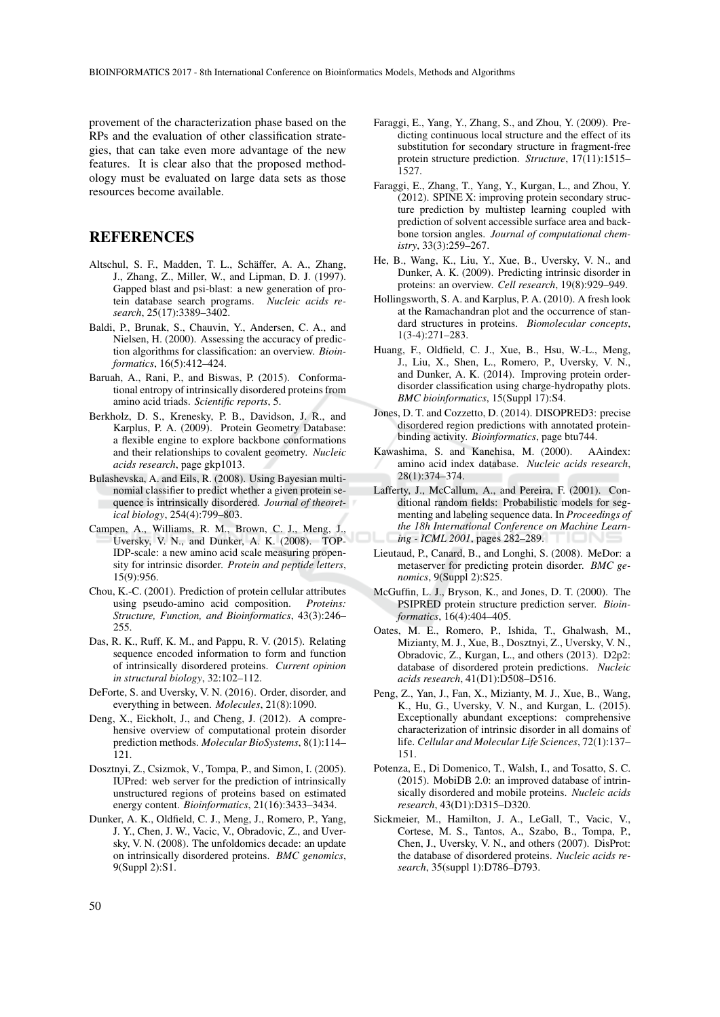provement of the characterization phase based on the RPs and the evaluation of other classification strategies, that can take even more advantage of the new features. It is clear also that the proposed methodology must be evaluated on large data sets as those resources become available.

## **REFERENCES**

- Altschul, S. F., Madden, T. L., Schäffer, A. A., Zhang, J., Zhang, Z., Miller, W., and Lipman, D. J. (1997). Gapped blast and psi-blast: a new generation of protein database search programs. *Nucleic acids research*, 25(17):3389–3402.
- Baldi, P., Brunak, S., Chauvin, Y., Andersen, C. A., and Nielsen, H. (2000). Assessing the accuracy of prediction algorithms for classification: an overview. *Bioinformatics*, 16(5):412–424.
- Baruah, A., Rani, P., and Biswas, P. (2015). Conformational entropy of intrinsically disordered proteins from amino acid triads. *Scientific reports*, 5.
- Berkholz, D. S., Krenesky, P. B., Davidson, J. R., and Karplus, P. A. (2009). Protein Geometry Database: a flexible engine to explore backbone conformations and their relationships to covalent geometry. *Nucleic acids research*, page gkp1013.
- Bulashevska, A. and Eils, R. (2008). Using Bayesian multinomial classifier to predict whether a given protein sequence is intrinsically disordered. *Journal of theoretical biology*, 254(4):799–803.
- Campen, A., Williams, R. M., Brown, C. J., Meng, J., Uversky, V. N., and Dunker, A. K. (2008). TOP-IDP-scale: a new amino acid scale measuring propensity for intrinsic disorder. *Protein and peptide letters*, 15(9):956.
- Chou, K.-C. (2001). Prediction of protein cellular attributes using pseudo-amino acid composition. *Proteins: Structure, Function, and Bioinformatics*, 43(3):246– 255.
- Das, R. K., Ruff, K. M., and Pappu, R. V. (2015). Relating sequence encoded information to form and function of intrinsically disordered proteins. *Current opinion in structural biology*, 32:102–112.
- DeForte, S. and Uversky, V. N. (2016). Order, disorder, and everything in between. *Molecules*, 21(8):1090.
- Deng, X., Eickholt, J., and Cheng, J. (2012). A comprehensive overview of computational protein disorder prediction methods. *Molecular BioSystems*, 8(1):114– 121.
- Dosztnyi, Z., Csizmok, V., Tompa, P., and Simon, I. (2005). IUPred: web server for the prediction of intrinsically unstructured regions of proteins based on estimated energy content. *Bioinformatics*, 21(16):3433–3434.
- Dunker, A. K., Oldfield, C. J., Meng, J., Romero, P., Yang, J. Y., Chen, J. W., Vacic, V., Obradovic, Z., and Uversky, V. N. (2008). The unfoldomics decade: an update on intrinsically disordered proteins. *BMC genomics*, 9(Suppl 2):S1.
- Faraggi, E., Yang, Y., Zhang, S., and Zhou, Y. (2009). Predicting continuous local structure and the effect of its substitution for secondary structure in fragment-free protein structure prediction. *Structure*, 17(11):1515– 1527.
- Faraggi, E., Zhang, T., Yang, Y., Kurgan, L., and Zhou, Y. (2012). SPINE X: improving protein secondary structure prediction by multistep learning coupled with prediction of solvent accessible surface area and backbone torsion angles. *Journal of computational chemistry*, 33(3):259–267.
- He, B., Wang, K., Liu, Y., Xue, B., Uversky, V. N., and Dunker, A. K. (2009). Predicting intrinsic disorder in proteins: an overview. *Cell research*, 19(8):929–949.
- Hollingsworth, S. A. and Karplus, P. A. (2010). A fresh look at the Ramachandran plot and the occurrence of standard structures in proteins. *Biomolecular concepts*, 1(3-4):271–283.
- Huang, F., Oldfield, C. J., Xue, B., Hsu, W.-L., Meng, J., Liu, X., Shen, L., Romero, P., Uversky, V. N., and Dunker, A. K. (2014). Improving protein orderdisorder classification using charge-hydropathy plots. *BMC bioinformatics*, 15(Suppl 17):S4.
- Jones, D. T. and Cozzetto, D. (2014). DISOPRED3: precise disordered region predictions with annotated proteinbinding activity. *Bioinformatics*, page btu744.
- Kawashima, S. and Kanehisa, M. (2000). AAindex: amino acid index database. *Nucleic acids research*, 28(1):374–374.
- Lafferty, J., McCallum, A., and Pereira, F. (2001). Conditional random fields: Probabilistic models for segmenting and labeling sequence data. In *Proceedings of the 18h International Conference on Machine Learning - ICML 2001*, pages 282–289.
- Lieutaud, P., Canard, B., and Longhi, S. (2008). MeDor: a metaserver for predicting protein disorder. *BMC genomics*, 9(Suppl 2):S25.
- McGuffin, L. J., Bryson, K., and Jones, D. T. (2000). The PSIPRED protein structure prediction server. *Bioinformatics*, 16(4):404–405.
- Oates, M. E., Romero, P., Ishida, T., Ghalwash, M., Mizianty, M. J., Xue, B., Dosztnyi, Z., Uversky, V. N., Obradovic, Z., Kurgan, L., and others (2013). D2p2: database of disordered protein predictions. *Nucleic acids research*, 41(D1):D508–D516.
- Peng, Z., Yan, J., Fan, X., Mizianty, M. J., Xue, B., Wang, K., Hu, G., Uversky, V. N., and Kurgan, L. (2015). Exceptionally abundant exceptions: comprehensive characterization of intrinsic disorder in all domains of life. *Cellular and Molecular Life Sciences*, 72(1):137– 151.
- Potenza, E., Di Domenico, T., Walsh, I., and Tosatto, S. C. (2015). MobiDB 2.0: an improved database of intrinsically disordered and mobile proteins. *Nucleic acids research*, 43(D1):D315–D320.
- Sickmeier, M., Hamilton, J. A., LeGall, T., Vacic, V., Cortese, M. S., Tantos, A., Szabo, B., Tompa, P., Chen, J., Uversky, V. N., and others (2007). DisProt: the database of disordered proteins. *Nucleic acids research*, 35(suppl 1):D786–D793.